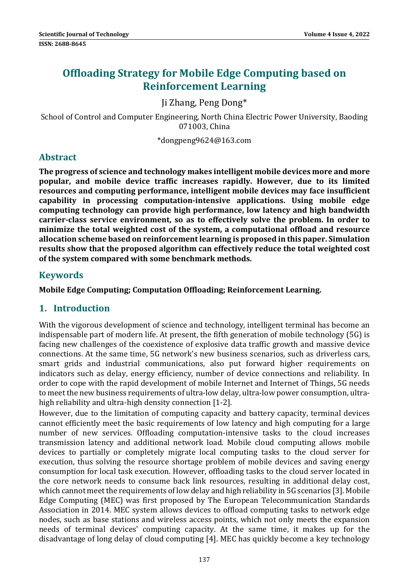# **Offloading Strategy for Mobile Edge Computing based on Reinforcement Learning**

# Ji Zhang, Peng Dong\*

School of Control and Computer Engineering, North China Electric Power University, Baoding 071003. China

\*dongpeng9624@163.com 

# **Abstract**

**The progress of science and technology makes intelligent mobile devices more and more popular, and mobile device traffic increases rapidly. However, due to its limited resources and computing performance, intelligent mobile devices may face insufficient capability in processing computation‐intensive applications. Using mobile edge computing technology can provide high performance, low latency and high bandwidth carrier‐class service environment, so as to effectively solve the problem. In order to minimize the total weighted cost of the system, a computational offload and resource allocation scheme based on reinforcementlearning is proposed in this paper. Simulation results show that the proposed algorithm can effectively reduce the total weighted cost of the system compared with some benchmark methods.**

# **Keywords**

**Mobile Edge Computing; Computation Offloading; Reinforcement Learning.**

# **1. Introduction**

With the vigorous development of science and technology, intelligent terminal has become an indispensable part of modern life. At present, the fifth generation of mobile technology  $(5G)$  is facing new challenges of the coexistence of explosive data traffic growth and massive device connections. At the same time, 5G network's new business scenarios, such as driverless cars, smart grids and industrial communications, also put forward higher requirements on indicators such as delay, energy efficiency, number of device connections and reliability. In order to cope with the rapid development of mobile Internet and Internet of Things, 5G needs to meet the new business requirements of ultra-low delay, ultra-low power consumption, ultrahigh reliability and ultra-high density connection [1-2].

However, due to the limitation of computing capacity and battery capacity, terminal devices cannot efficiently meet the basic requirements of low latency and high computing for a large number of new services. Offloading computation-intensive tasks to the cloud increases transmission latency and additional network load. Mobile cloud computing allows mobile devices to partially or completely migrate local computing tasks to the cloud server for execution, thus solving the resource shortage problem of mobile devices and saving energy consumption for local task execution. However, offloading tasks to the cloud server located in the core network needs to consume back link resources, resulting in additional delay cost, which cannot meet the requirements of low delay and high reliability in 5G scenarios [3]. Mobile Edge Computing (MEC) was first proposed by The European Telecommunication Standards Association in 2014. MEC system allows devices to offload computing tasks to network edge nodes, such as base stations and wireless access points, which not only meets the expansion needs of terminal devices' computing capacity. At the same time, it makes up for the disadvantage of long delay of cloud computing  $[4]$ . MEC has quickly become a key technology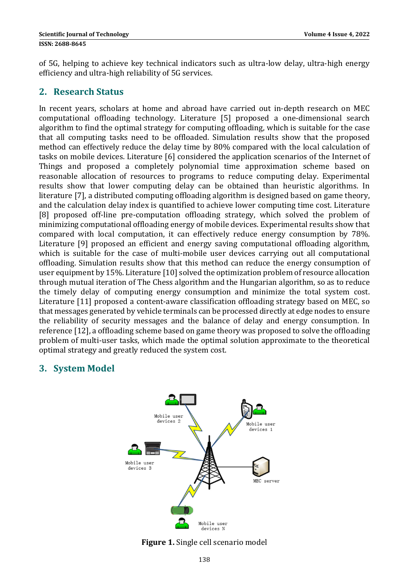of 5G, helping to achieve key technical indicators such as ultra-low delay, ultra-high energy efficiency and ultra-high reliability of 5G services.

#### **2. Research Status**

In recent years, scholars at home and abroad have carried out in-depth research on MEC computational offloading technology. Literature [5] proposed a one-dimensional search algorithm to find the optimal strategy for computing offloading, which is suitable for the case that all computing tasks need to be offloaded. Simulation results show that the proposed method can effectively reduce the delay time by 80% compared with the local calculation of tasks on mobile devices. Literature [6] considered the application scenarios of the Internet of Things and proposed a completely polynomial time approximation scheme based on reasonable allocation of resources to programs to reduce computing delay. Experimental results show that lower computing delay can be obtained than heuristic algorithms. In literature [7], a distributed computing offloading algorithm is designed based on game theory, and the calculation delay index is quantified to achieve lower computing time cost. Literature [8] proposed off-line pre-computation offloading strategy, which solved the problem of minimizing computational offloading energy of mobile devices. Experimental results show that compared with local computation, it can effectively reduce energy consumption by 78%. Literature [9] proposed an efficient and energy saving computational offloading algorithm, which is suitable for the case of multi-mobile user devices carrying out all computational offloading. Simulation results show that this method can reduce the energy consumption of user equipment by 15%. Literature [10] solved the optimization problem of resource allocation through mutual iteration of The Chess algorithm and the Hungarian algorithm, so as to reduce the timely delay of computing energy consumption and minimize the total system cost. Literature [11] proposed a content-aware classification offloading strategy based on MEC, so that messages generated by vehicle terminals can be processed directly at edge nodes to ensure the reliability of security messages and the balance of delay and energy consumption. In reference [12], a offloading scheme based on game theory was proposed to solve the offloading problem of multi-user tasks, which made the optimal solution approximate to the theoretical optimal strategy and greatly reduced the system cost.

### **3. System Model**



Figure 1. Single cell scenario model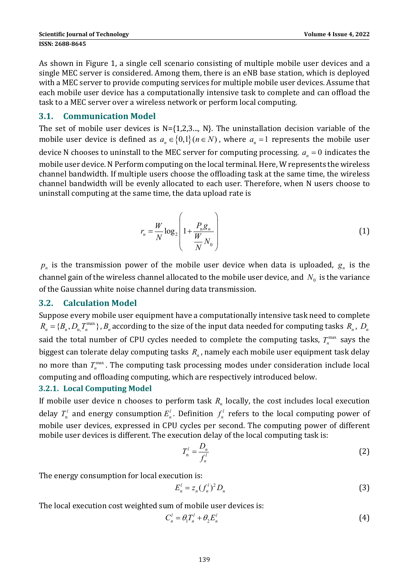As shown in Figure 1, a single cell scenario consisting of multiple mobile user devices and a single MEC server is considered. Among them, there is an eNB base station, which is deployed with a MEC server to provide computing services for multiple mobile user devices. Assume that each mobile user device has a computationally intensive task to complete and can offload the task to a MEC server over a wireless network or perform local computing.

#### **3.1. Communication Model**

The set of mobile user devices is  $N=\{1,2,3,..., N\}$ . The uninstallation decision variable of the mobile user device is defined as  $a_n \in \{0,1\}$  ( $n \in N$ ), where  $a_n = 1$  represents the mobile user device N chooses to uninstall to the MEC server for computing processing.  $a_n = 0$  indicates the mobile user device. N Perform computing on the local terminal. Here, W represents the wireless channel bandwidth. If multiple users choose the offloading task at the same time, the wireless channel bandwidth will be evenly allocated to each user. Therefore, when N users choose to uninstall computing at the same time, the data upload rate is

$$
r_n = \frac{W}{N} \log_2 \left( 1 + \frac{P_n g_n}{\frac{W}{N} N_0} \right)
$$
 (1)

 $p_n$  is the transmission power of the mobile user device when data is uploaded,  $g_n$  is the channel gain of the wireless channel allocated to the mobile user device, and  $N_0$  is the variance of the Gaussian white noise channel during data transmission.

#### **3.2. Calculation Model**

Suppose every mobile user equipment have a computationally intensive task need to complete  $R_n = \{B_n, D_n, T_n^{\max}\}$ ,  $B_n$  according to the size of the input data needed for computing tasks  $R_n$ ,  $D_n$ said the total number of CPU cycles needed to complete the computing tasks,  $T_n^{\max}$  says the biggest can tolerate delay computing tasks  $R_n$ , namely each mobile user equipment task delay no more than  $T_n^{\max}$ . The computing task processing modes under consideration include local computing and offloading computing, which are respectively introduced below.

#### **3.2.1. Local Computing Model**

If mobile user device n chooses to perform task  $R_n$  locally, the cost includes local execution delay  $T_{\rm n}^l$  and energy consumption  $E_{\rm n}^l$ . Definition  $f_{\rm n}^l$  refers to the local computing power of mobile user devices, expressed in CPU cycles per second. The computing power of different mobile user devices is different. The execution delay of the local computing task is:

$$
T_n^l = \frac{D_n}{f_n^l} \tag{2}
$$

The energy consumption for local execution is:

$$
E_n^{\prime} = z_n (f_n^{\prime})^2 D_n \tag{3}
$$

The local execution cost weighted sum of mobile user devices is:

$$
C_n^l = \theta_l T_n^l + \theta_2 E_n^l \tag{4}
$$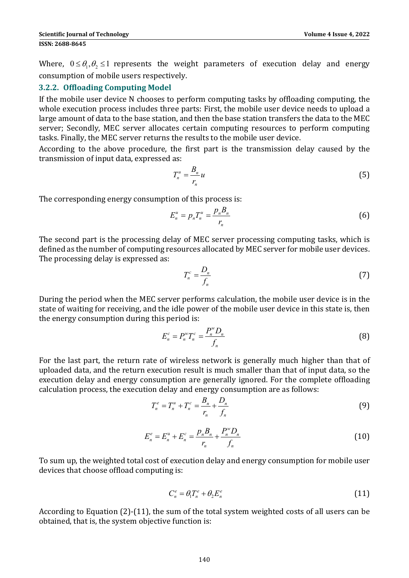Where,  $0 \le \theta_1, \theta_2 \le 1$  represents the weight parameters of execution delay and energy consumption of mobile users respectively.

#### **3.2.2. Offloading Computing Model**

If the mobile user device  $N$  chooses to perform computing tasks by offloading computing, the whole execution process includes three parts: First, the mobile user device needs to upload a large amount of data to the base station, and then the base station transfers the data to the MEC server; Secondly, MEC server allocates certain computing resources to perform computing tasks. Finally, the MEC server returns the results to the mobile user device.

According to the above procedure, the first part is the transmission delay caused by the transmission of input data, expressed as:

$$
T_n^u = \frac{B_n}{r_n} u \tag{5}
$$

The corresponding energy consumption of this process is:

$$
E_n^u = p_n T_n^u = \frac{p_n B_n}{r_n} \tag{6}
$$

The second part is the processing delay of MEC server processing computing tasks, which is defined as the number of computing resources allocated by MEC server for mobile user devices. The processing delay is expressed as:

$$
T_n^c = \frac{D_n}{f_n} \tag{7}
$$

During the period when the MEC server performs calculation, the mobile user device is in the state of waiting for receiving, and the idle power of the mobile user device in this state is, then the energy consumption during this period is:

$$
E_n^c = P_n^w T_n^c = \frac{P_n^w D_n}{f_n} \tag{8}
$$

For the last part, the return rate of wireless network is generally much higher than that of uploaded data, and the return execution result is much smaller than that of input data, so the execution delay and energy consumption are generally ignored. For the complete offloading calculation process, the execution delay and energy consumption are as follows:

$$
T_n^e = T_n^u + T_n^c = \frac{B_n}{r_n} + \frac{D_n}{f_n}
$$
(9)

$$
E_n^e = E_n^u + E_n^c = \frac{p_n B_n}{r_n} + \frac{P_n^w D_n}{f_n}
$$
 (10)

To sum up, the weighted total cost of execution delay and energy consumption for mobile user devices that choose offload computing is:

$$
C_n^e = \theta_1 T_n^e + \theta_2 E_n^e \tag{11}
$$

According to Equation  $(2)$ - $(11)$ , the sum of the total system weighted costs of all users can be obtained, that is, the system objective function is: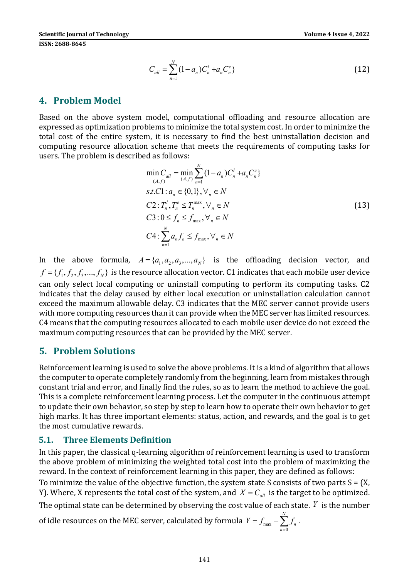$$
C_{all} = \sum_{n=1}^{N} (1 - a_n) C_n^l + a_n C_n^e
$$
 (12)

#### **4. Problem Model**

Based on the above system model, computational offloading and resource allocation are expressed as optimization problems to minimize the total system cost. In order to minimize the total cost of the entire system, it is necessary to find the best uninstallation decision and computing resource allocation scheme that meets the requirements of computing tasks for users. The problem is described as follows:

$$
\min_{(A,f)} C_{all} = \min_{(A,f)} \sum_{n=1}^{N} (1 - a_n) C_n^l + a_n C_n^e
$$
  
s.t.C1:  $a_n \in \{0,1\}, \forall_n \in N$   
C2:  $T_n^l, T_n^e \le T_n^{\max}, \forall_n \in N$   
C3:  $0 \le f_n \le f_{\max}, \forall_n \in N$   
C4:  $\sum_{n=1}^{N} a_n f_n \le f_{\max}, \forall_n \in N$  (13)

In the above formula,  $A = \{a_1, a_2, a_3, ..., a_N\}$  is the offloading decision vector, and  $f = \{f_1, f_2, f_3, ..., f_N\}$  is the resource allocation vector. C1 indicates that each mobile user device can only select local computing or uninstall computing to perform its computing tasks. C2 indicates that the delay caused by either local execution or uninstallation calculation cannot exceed the maximum allowable delay. C3 indicates that the MEC server cannot provide users with more computing resources than it can provide when the MEC server has limited resources. C4 means that the computing resources allocated to each mobile user device do not exceed the maximum computing resources that can be provided by the MEC server.

### **5. Problem Solutions**

Reinforcement learning is used to solve the above problems. It is a kind of algorithm that allows the computer to operate completely randomly from the beginning, learn from mistakes through constant trial and error, and finally find the rules, so as to learn the method to achieve the goal. This is a complete reinforcement learning process. Let the computer in the continuous attempt to update their own behavior, so step by step to learn how to operate their own behavior to get high marks. It has three important elements: status, action, and rewards, and the goal is to get the most cumulative rewards.

#### **5.1. Three Elements Definition**

In this paper, the classical q-learning algorithm of reinforcement learning is used to transform the above problem of minimizing the weighted total cost into the problem of maximizing the reward. In the context of reinforcement learning in this paper, they are defined as follows:

To minimize the value of the objective function, the system state S consists of two parts  $S = (X,$ Y). Where, X represents the total cost of the system, and  $X = C_{all}$  is the target to be optimized.

The optimal state can be determined by observing the cost value of each state.  $Y$  is the number

of idle resources on the MEC server, calculated by formula  $\mathit{Y} = \mathit{f}_{\max} - \sum^N$  $\mathbf{0}$  $Y = f_{\text{max}} - \sum f_n$ . *n* =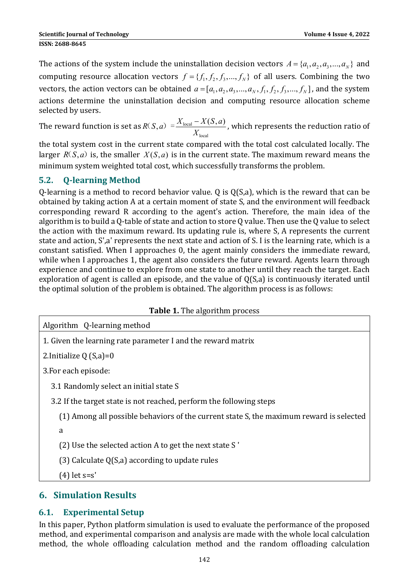The actions of the system include the uninstallation decision vectors  $A = \{a_1, a_2, a_3, ..., a_N\}$  and computing resource allocation vectors  $f = \{f_1, f_2, f_3, ..., f_N\}$  of all users. Combining the two vectors, the action vectors can be obtained  $a = [a_1, a_2, a_3, ..., a_N, f_1, f_2, f_3, ..., f_N]$ , and the system actions determine the uninstallation decision and computing resource allocation scheme selected by users.

The reward function is set as  $R(S,a) = \frac{A \cdot \text{local}}{A}$ local  $R(S,a) = \frac{X_{\text{local}} - X(S,a)}{X}$ *X*  $R(S, a) = \frac{X_{\text{local}} - X(S, a)}{X_{\text{local}}}$  , which represents the reduction ratio of

the total system cost in the current state compared with the total cost calculated locally. The larger  $R(S,a)$  is, the smaller  $X(S,a)$  is in the current state. The maximum reward means the minimum system weighted total cost, which successfully transforms the problem.

# **5.2. Q‐learning Method**

O-learning is a method to record behavior value. O is  $O(S,a)$ , which is the reward that can be obtained by taking action A at a certain moment of state S, and the environment will feedback corresponding reward R according to the agent's action. Therefore, the main idea of the algorithm is to build a Q-table of state and action to store Q value. Then use the Q value to select the action with the maximum reward. Its updating rule is, where S, A represents the current state and action, S',a' represents the next state and action of S. I is the learning rate, which is a constant satisfied. When I approaches 0, the agent mainly considers the immediate reward, while when I approaches 1, the agent also considers the future reward. Agents learn through experience and continue to explore from one state to another until they reach the target. Each exploration of agent is called an episode, and the value of  $Q(S,a)$  is continuously iterated until the optimal solution of the problem is obtained. The algorithm process is as follows:

#### **Table 1.** The algorithm process

| <b>Table 1.</b> The algorithm process                                                   |
|-----------------------------------------------------------------------------------------|
| Algorithm Q-learning method                                                             |
| 1. Given the learning rate parameter I and the reward matrix                            |
| 2.Initialize $Q(S,a)=0$                                                                 |
| 3. For each episode:                                                                    |
| 3.1 Randomly select an initial state S                                                  |
| 3.2 If the target state is not reached, perform the following steps                     |
| (1) Among all possible behaviors of the current state S, the maximum reward is selected |
| a                                                                                       |
| (2) Use the selected action A to get the next state S'                                  |
| (3) Calculate $Q(S,a)$ according to update rules                                        |
| (4)    let s=s'                                                                         |

# **6. Simulation Results**

# **6.1. Experimental Setup**

In this paper, Python platform simulation is used to evaluate the performance of the proposed method, and experimental comparison and analysis are made with the whole local calculation method, the whole offloading calculation method and the random offloading calculation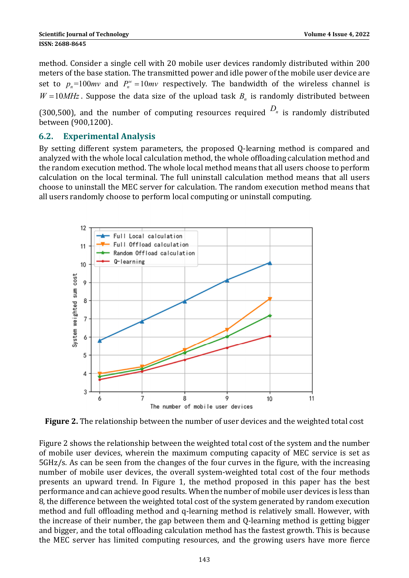method. Consider a single cell with 20 mobile user devices randomly distributed within 200 meters of the base station. The transmitted power and idle power of the mobile user device are set to  $p_n = 100mv$  and  $P_n^w = 10mv$  respectively. The bandwidth of the wireless channel is  $W = 10 MHz$ . Suppose the data size of the upload task  $B<sub>n</sub>$  is randomly distributed between

(300,500), and the number of computing resources required  $D_n$  is randomly distributed between (900,1200). 

#### **6.2. Experimental Analysis**

By setting different system parameters, the proposed Q-learning method is compared and analyzed with the whole local calculation method, the whole offloading calculation method and the random execution method. The whole local method means that all users choose to perform calculation on the local terminal. The full uninstall calculation method means that all users choose to uninstall the MEC server for calculation. The random execution method means that all users randomly choose to perform local computing or uninstall computing.



**Figure 2.** The relationship between the number of user devices and the weighted total cost

Figure 2 shows the relationship between the weighted total cost of the system and the number of mobile user devices, wherein the maximum computing capacity of MEC service is set as 5GHz/s. As can be seen from the changes of the four curves in the figure, with the increasing number of mobile user devices, the overall system-weighted total cost of the four methods presents an upward trend. In Figure 1, the method proposed in this paper has the best performance and can achieve good results. When the number of mobile user devices is less than 8, the difference between the weighted total cost of the system generated by random execution method and full offloading method and q-learning method is relatively small. However, with the increase of their number, the gap between them and Q-learning method is getting bigger and bigger, and the total offloading calculation method has the fastest growth. This is because the MEC server has limited computing resources, and the growing users have more fierce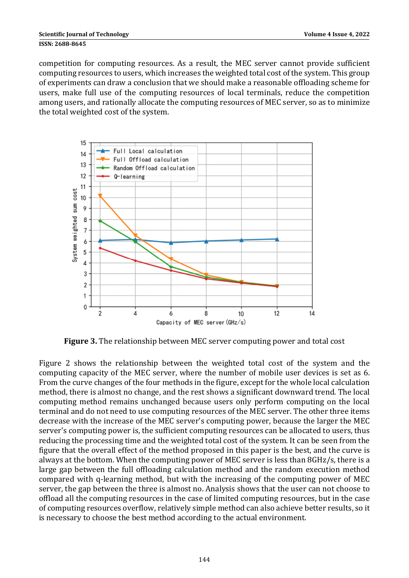competition for computing resources. As a result, the MEC server cannot provide sufficient computing resources to users, which increases the weighted total cost of the system. This group of experiments can draw a conclusion that we should make a reasonable offloading scheme for users, make full use of the computing resources of local terminals, reduce the competition among users, and rationally allocate the computing resources of MEC server, so as to minimize the total weighted cost of the system.



**Figure 3.** The relationship between MEC server computing power and total cost

Figure 2 shows the relationship between the weighted total cost of the system and the computing capacity of the MEC server, where the number of mobile user devices is set as 6. From the curve changes of the four methods in the figure, except for the whole local calculation method, there is almost no change, and the rest shows a significant downward trend. The local computing method remains unchanged because users only perform computing on the local terminal and do not need to use computing resources of the MEC server. The other three items decrease with the increase of the MEC server's computing power, because the larger the MEC server's computing power is, the sufficient computing resources can be allocated to users, thus reducing the processing time and the weighted total cost of the system. It can be seen from the figure that the overall effect of the method proposed in this paper is the best, and the curve is always at the bottom. When the computing power of MEC server is less than  $8GHz/s$ , there is a large gap between the full offloading calculation method and the random execution method compared with q-learning method, but with the increasing of the computing power of MEC server, the gap between the three is almost no. Analysis shows that the user can not choose to offload all the computing resources in the case of limited computing resources, but in the case of computing resources overflow, relatively simple method can also achieve better results, so it is necessary to choose the best method according to the actual environment.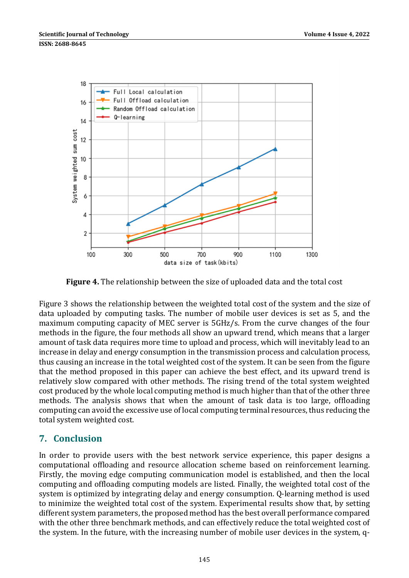

**Figure 4.** The relationship between the size of uploaded data and the total cost

Figure 3 shows the relationship between the weighted total cost of the system and the size of data uploaded by computing tasks. The number of mobile user devices is set as 5, and the maximum computing capacity of MEC server is 5GHz/s. From the curve changes of the four methods in the figure, the four methods all show an upward trend, which means that a larger amount of task data requires more time to upload and process, which will inevitably lead to an increase in delay and energy consumption in the transmission process and calculation process, thus causing an increase in the total weighted cost of the system. It can be seen from the figure that the method proposed in this paper can achieve the best effect, and its upward trend is relatively slow compared with other methods. The rising trend of the total system weighted cost produced by the whole local computing method is much higher than that of the other three methods. The analysis shows that when the amount of task data is too large, offloading computing can avoid the excessive use of local computing terminal resources, thus reducing the total system weighted cost.

# **7. Conclusion**

In order to provide users with the best network service experience, this paper designs a computational offloading and resource allocation scheme based on reinforcement learning. Firstly, the moving edge computing communication model is established, and then the local computing and offloading computing models are listed. Finally, the weighted total cost of the system is optimized by integrating delay and energy consumption. Q-learning method is used to minimize the weighted total cost of the system. Experimental results show that, by setting different system parameters, the proposed method has the best overall performance compared with the other three benchmark methods, and can effectively reduce the total weighted cost of the system. In the future, with the increasing number of mobile user devices in the system, q